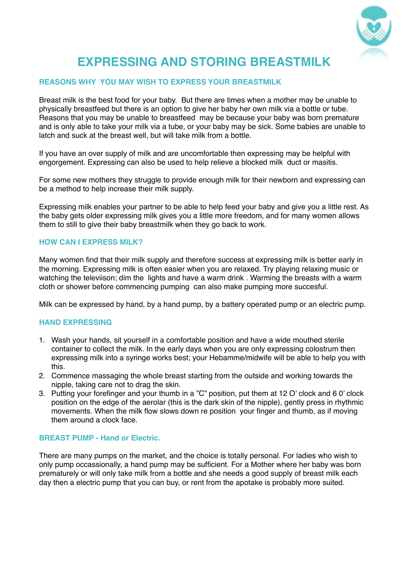

# **EXPRESSING AND STORING BREASTMILK**

# **REASONS WHY YOU MAY WISH TO EXPRESS YOUR BREASTMILK**

Breast milk is the best food for your baby. But there are times when a mother may be unable to physically breastfeed but there is an option to give her baby her own milk via a bottle or tube. Reasons that you may be unable to breastfeed may be because your baby was born premature and is only able to take your milk via a tube, or your baby may be sick. Some babies are unable to latch and suck at the breast well, but will take milk from a bottle.

If you have an over supply of milk and are uncomfortable then expressing may be helpful with engorgement. Expressing can also be used to help relieve a blocked milk duct or masitis.

For some new mothers they struggle to provide enough milk for their newborn and expressing can be a method to help increase their milk supply.

Expressing milk enables your partner to be able to help feed your baby and give you a little rest. As the baby gets older expressing milk gives you a little more freedom, and for many women allows them to still to give their baby breastmilk when they go back to work.

## **HOW CAN I EXPRESS MILK?**

Many women find that their milk supply and therefore success at expressing milk is better early in the morning. Expressing milk is often easier when you are relaxed. Try playing relaxing music or watching the televiison; dim the lights and have a warm drink . Warming the breasts with a warm cloth or shower before commencing pumping can also make pumping more succesful.

Milk can be expressed by hand, by a hand pump, by a battery operated pump or an electric pump.

# **HAND EXPRESSING**

- 1. Wash your hands, sit yourself in a comfortable position and have a wide mouthed sterile container to collect the milk. In the early days when you are only expressing colostrum then expressing milk into a syringe works best; your Hebamme/midwife will be able to help you with this.
- 2. Commence massaging the whole breast starting from the outside and working towards the nipple, taking care not to drag the skin.
- 3. Putting your forefinger and your thumb in a "C" position, put them at 12 O' clock and 6 0' clock position on the edge of the aerolar (this is the dark skin of the nipple), gently press in rhythmic movements. When the milk flow slows down re position your finger and thumb, as if moving them around a clock face.

#### **BREAST PUMP - Hand or Electric.**

There are many pumps on the market, and the choice is totally personal. For ladies who wish to only pump occassionally, a hand pump may be sufficient. For a Mother where her baby was born prematurely or will only take milk from a bottle and she needs a good supply of breast milk each day then a electric pump that you can buy, or rent from the apotake is probably more suited.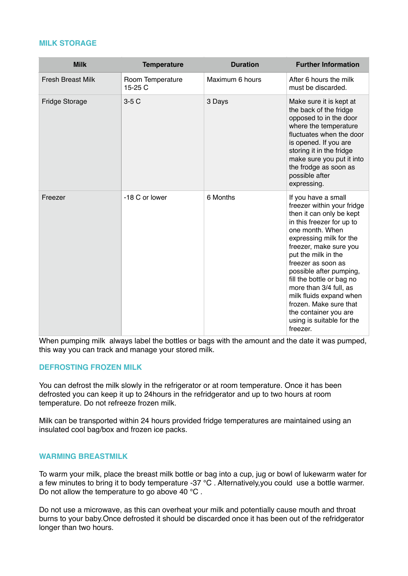## **MILK STORAGE**

| <b>Milk</b>              | <b>Temperature</b>          | <b>Duration</b> | <b>Further Information</b>                                                                                                                                                                                                                                                                                                                                                                                                               |
|--------------------------|-----------------------------|-----------------|------------------------------------------------------------------------------------------------------------------------------------------------------------------------------------------------------------------------------------------------------------------------------------------------------------------------------------------------------------------------------------------------------------------------------------------|
| <b>Fresh Breast Milk</b> | Room Temperature<br>15-25 C | Maximum 6 hours | After 6 hours the milk<br>must be discarded.                                                                                                                                                                                                                                                                                                                                                                                             |
| Fridge Storage           | $3-5C$                      | 3 Days          | Make sure it is kept at<br>the back of the fridge<br>opposed to in the door<br>where the temperature<br>fluctuates when the door<br>is opened. If you are<br>storing it in the fridge<br>make sure you put it into<br>the frodge as soon as<br>possible after<br>expressing.                                                                                                                                                             |
| Freezer                  | -18 C or lower              | 6 Months        | If you have a small<br>freezer within your fridge<br>then it can only be kept<br>in this freezer for up to<br>one month. When<br>expressing milk for the<br>freezer, make sure you<br>put the milk in the<br>freezer as soon as<br>possible after pumping,<br>fill the bottle or bag no<br>more than 3/4 full, as<br>milk fluids expand when<br>frozen. Make sure that<br>the container you are<br>using is suitable for the<br>freezer. |

When pumping milk always label the bottles or bags with the amount and the date it was pumped, this way you can track and manage your stored milk.

#### **DEFROSTING FROZEN MILK**

You can defrost the milk slowly in the refrigerator or at room temperature. Once it has been defrosted you can keep it up to 24hours in the refridgerator and up to two hours at room temperature. Do not refreeze frozen milk.

Milk can be transported within 24 hours provided fridge temperatures are maintained using an insulated cool bag/box and frozen ice packs.

#### **WARMING BREASTMILK**

To warm your milk, place the breast milk bottle or bag into a cup, jug or bowl of lukewarm water for a few minutes to bring it to body temperature -37 °C . Alternatively,you could use a bottle warmer. Do not allow the temperature to go above 40 °C.

Do not use a microwave, as this can overheat your milk and potentially cause mouth and throat burns to your baby.Once defrosted it should be discarded once it has been out of the refridgerator longer than two hours.